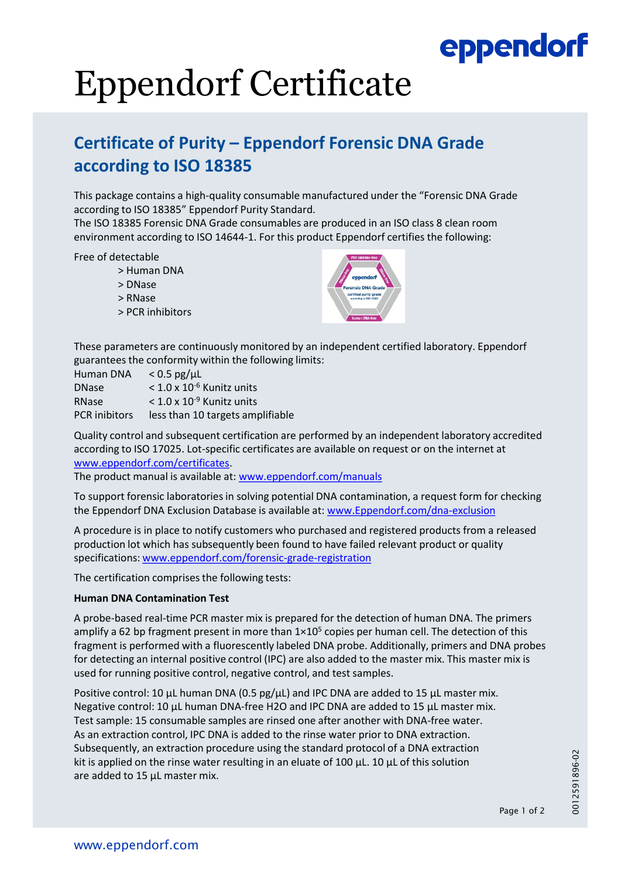## eppendorf

# Eppendorf Certificate

### **Certificate of Purity – Eppendorf Forensic DNA Grade according to ISO 18385**

This package contains a high-quality consumable manufactured under the "Forensic DNA Grade according to ISO 18385" Eppendorf Purity Standard.

The ISO 18385 Forensic DNA Grade consumables are produced in an ISO class 8 clean room environment according to ISO 14644-1. For this product Eppendorf certifies the following:

Free of detectable

- > Human DNA
- > DNase
- > RNase
- > PCR inhibitors



These parameters are continuously monitored by an independent certified laboratory. Eppendorf guarantees the conformity within the following limits:

| Human DNA            | $< 0.5$ pg/ $\mu$ L                     |
|----------------------|-----------------------------------------|
| <b>DNase</b>         | $<$ 1.0 x 10 <sup>-6</sup> Kunitz units |
| <b>RNase</b>         | $<$ 1.0 x 10 <sup>-9</sup> Kunitz units |
| <b>PCR</b> inibitors | less than 10 targets amplifiable        |

Quality control and subsequent certification are performed by an independent laboratory accredited according to ISO 17025. Lot-specific certificates are available on request or on the internet at [www.eppendorf.com/certificates](http://www.eppendorf.com/certificates).

The product manual is available at: [www.eppendorf.com/manuals](http://www.eppendorf.com/manuals)

To support forensic laboratories in solving potential DNA contamination, a request form for checking the Eppendorf DNA Exclusion Database is available at: [www.Eppendorf.com/dna-exclusion](http://www.eppendorf.com/dna-exclusion)

A procedure is in place to notify customers who purchased and registered products from a released production lot which has subsequently been found to have failed relevant product or quality specifications: [www.eppendorf.com/forensic-grade-registration](http://www.eppendorf.com/forensic-grade-registration)

The certification comprises the following tests:

### **Human DNA Contamination Test**

A probe-based real-time PCR master mix is prepared for the detection of human DNA. The primers amplify a 62 bp fragment present in more than  $1\times10^5$  copies per human cell. The detection of this fragment is performed with a fluorescently labeled DNA probe. Additionally, primers and DNA probes for detecting an internal positive control (IPC) are also added to the master mix. This master mix is used for running positive control, negative control, and test samples.

Positive control: 10 μL human DNA (0.5 pg/μL) and IPC DNA are added to 15 μL master mix. Negative control: 10 μL human DNA-free H2O and IPC DNA are added to 15 μL master mix. Test sample: 15 consumable samples are rinsed one after another with DNA-free water. As an extraction control, IPC DNA is added to the rinse water prior to DNA extraction. Subsequently, an extraction procedure using the standard protocol of a DNA extraction kit is applied on the rinse water resulting in an eluate of 100  $\mu$ L. 10  $\mu$ L of this solution are added to 15 μL master mix.